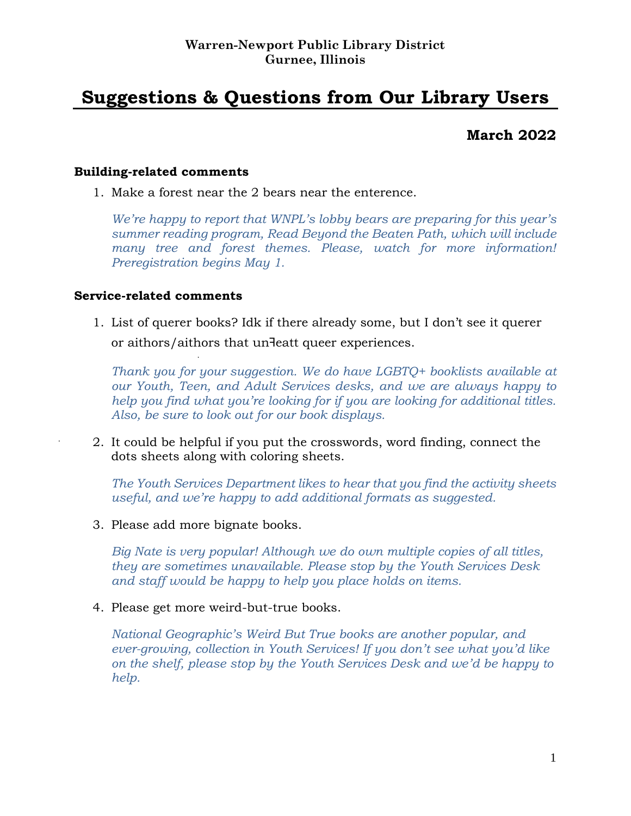# **Suggestions & Questions from Our Library Users**

# **March 2022**

#### **Building-related comments**

1. Make a forest near the 2 bears near the enterence.

*We're happy to report that WNPL's lobby bears are preparing for this year's summer reading program, Read Beyond the Beaten Path, which will include many tree and forest themes. Please, watch for more information! Preregistration begins May 1.*

#### **Service-related comments**

1. List of querer books? Idk if there already some, but I don't see it querer or aithors/aithors that un<sup>1</sup>eatt queer experiences.

*Thank you for your suggestion. We do have LGBTQ+ booklists available at our Youth, Teen, and Adult Services desks, and we are always happy to help you find what you're looking for if you are looking for additional titles. Also, be sure to look out for our book displays.*

2. It could be helpful if you put the crosswords, word finding, connect the dots sheets along with coloring sheets.

*The Youth Services Department likes to hear that you find the activity sheets useful, and we're happy to add additional formats as suggested.*

3. Please add more bignate books.

*Big Nate is very popular! Although we do own multiple copies of all titles, they are sometimes unavailable. Please stop by the Youth Services Desk and staff would be happy to help you place holds on items.*

4. Please get more weird-but-true books.

*National Geographic's Weird But True books are another popular, and ever-growing, collection in Youth Services! If you don't see what you'd like on the shelf, please stop by the Youth Services Desk and we'd be happy to help.*